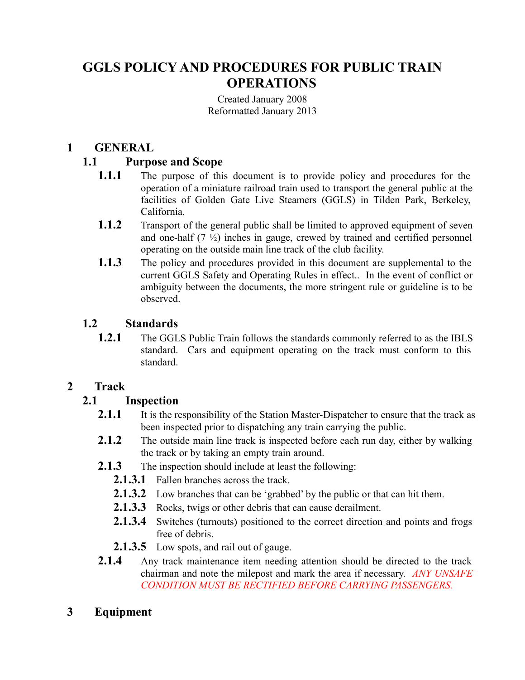# **GGLS POLICY AND PROCEDURES FOR PUBLIC TRAIN OPERATIONS**

Created January 2008 Reformatted January 2013

#### **1 GENERAL**

#### **1.1 Purpose and Scope**

- **1.1.1** The purpose of this document is to provide policy and procedures for the operation of a miniature railroad train used to transport the general public at the facilities of Golden Gate Live Steamers (GGLS) in Tilden Park, Berkeley, California.
- **1.1.2** Transport of the general public shall be limited to approved equipment of seven and one-half (7 ½) inches in gauge, crewed by trained and certified personnel operating on the outside main line track of the club facility.
- **1.1.3** The policy and procedures provided in this document are supplemental to the current GGLS Safety and Operating Rules in effect.. In the event of conflict or ambiguity between the documents, the more stringent rule or guideline is to be observed.

#### **1.2 Standards**

**1.2.1** The GGLS Public Train follows the standards commonly referred to as the IBLS standard. Cars and equipment operating on the track must conform to this standard.

#### **2 Track**

#### **2.1 Inspection**

- **2.1.1** It is the responsibility of the Station Master-Dispatcher to ensure that the track as been inspected prior to dispatching any train carrying the public.
- **2.1.2** The outside main line track is inspected before each run day, either by walking the track or by taking an empty train around.
- **2.1.3** The inspection should include at least the following:
	- **2.1.3.1** Fallen branches across the track.
	- **2.1.3.2** Low branches that can be 'grabbed' by the public or that can hit them.
	- **2.1.3.3** Rocks, twigs or other debris that can cause derailment.
	- **2.1.3.4** Switches (turnouts) positioned to the correct direction and points and frogs free of debris.
	- **2.1.3.5** Low spots, and rail out of gauge.
- **2.1.4** Any track maintenance item needing attention should be directed to the track chairman and note the milepost and mark the area if necessary. *ANY UNSAFE CONDITION MUST BE RECTIFIED BEFORE CARRYING PASSENGERS.*
- **3 Equipment**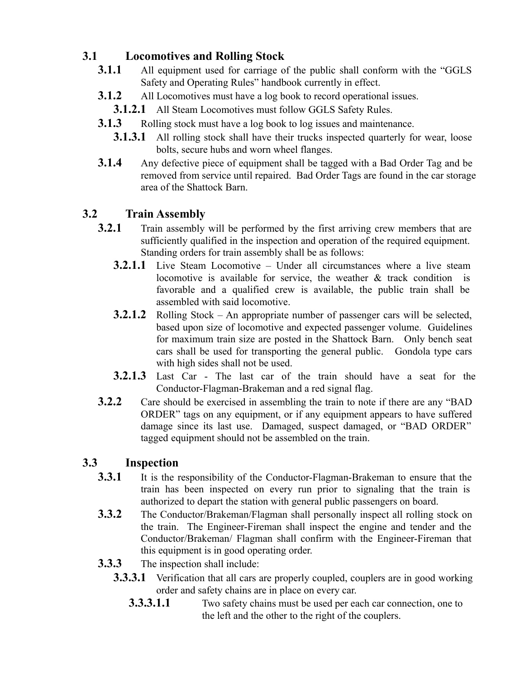# **3.1 Locomotives and Rolling Stock**

- **3.1.1** All equipment used for carriage of the public shall conform with the "GGLS" Safety and Operating Rules" handbook currently in effect.
- **3.1.2** All Locomotives must have a log book to record operational issues.
- **3.1.2.1** All Steam Locomotives must follow GGLS Safety Rules.
- **3.1.3** Rolling stock must have a log book to log issues and maintenance.
	- **3.1.3.1** All rolling stock shall have their trucks inspected quarterly for wear, loose bolts, secure hubs and worn wheel flanges.
- **3.1.4** Any defective piece of equipment shall be tagged with a Bad Order Tag and be removed from service until repaired. Bad Order Tags are found in the car storage area of the Shattock Barn.

# **3.2 Train Assembly**

- **3.2.1** Train assembly will be performed by the first arriving crew members that are sufficiently qualified in the inspection and operation of the required equipment. Standing orders for train assembly shall be as follows:
	- **3.2.1.1** Live Steam Locomotive Under all circumstances where a live steam locomotive is available for service, the weather & track condition is favorable and a qualified crew is available, the public train shall be assembled with said locomotive.
	- **3.2.1.2** Rolling Stock An appropriate number of passenger cars will be selected, based upon size of locomotive and expected passenger volume. Guidelines for maximum train size are posted in the Shattock Barn. Only bench seat cars shall be used for transporting the general public. Gondola type cars with high sides shall not be used.
	- **3.2.1.3** Last Car The last car of the train should have a seat for the Conductor-Flagman-Brakeman and a red signal flag.
- **3.2.2** Care should be exercised in assembling the train to note if there are any "BAD ORDER" tags on any equipment, or if any equipment appears to have suffered damage since its last use. Damaged, suspect damaged, or "BAD ORDER" tagged equipment should not be assembled on the train.

# **3.3 Inspection**

- **3.3.1** It is the responsibility of the Conductor-Flagman-Brakeman to ensure that the train has been inspected on every run prior to signaling that the train is authorized to depart the station with general public passengers on board.
- **3.3.2** The Conductor/Brakeman/Flagman shall personally inspect all rolling stock on the train. The Engineer-Fireman shall inspect the engine and tender and the Conductor/Brakeman/ Flagman shall confirm with the Engineer-Fireman that this equipment is in good operating order.
- **3.3.3** The inspection shall include:
	- **3.3.3.1** Verification that all cars are properly coupled, couplers are in good working order and safety chains are in place on every car.
		- **3.3.3.1.1** Two safety chains must be used per each car connection, one to the left and the other to the right of the couplers.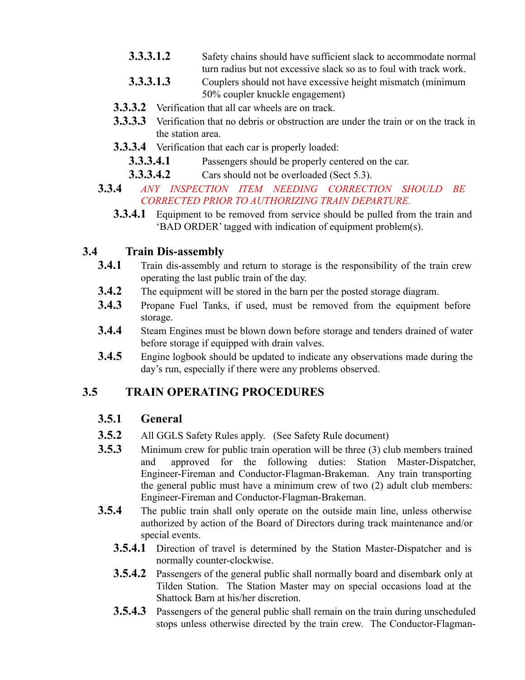- **3.3.3.1.2** Safety chains should have sufficient slack to accommodate normal turn radius but not excessive slack so as to foul with track work.
- **3.3.3.1.3** Couplers should not have excessive height mismatch (minimum 50% coupler knuckle engagement)
- **3.3.3.2** Verification that all car wheels are on track.
- **3.3.3.3** Verification that no debris or obstruction are under the train or on the track in the station area.
- **3.3.3.4** Verification that each car is properly loaded:
	- **3.3.3.4.1** Passengers should be properly centered on the car.
	- **3.3.3.4.2** Cars should not be overloaded (Sect 5.3).
- **3.3.4** *ANY INSPECTION ITEM NEEDING CORRECTION SHOULD BE CORRECTED PRIOR TO AUTHORIZING TRAIN DEPARTURE.*
	- **3.3.4.1** Equipment to be removed from service should be pulled from the train and 'BAD ORDER' tagged with indication of equipment problem(s).

# **3.4 Train Dis-assembly**

- **3.4.1** Train dis-assembly and return to storage is the responsibility of the train crew operating the last public train of the day.
- **3.4.2** The equipment will be stored in the barn per the posted storage diagram.
- **3.4.3** Propane Fuel Tanks, if used, must be removed from the equipment before storage.
- **3.4.4** Steam Engines must be blown down before storage and tenders drained of water before storage if equipped with drain valves.
- **3.4.5** Engine logbook should be updated to indicate any observations made during the day's run, especially if there were any problems observed.

# **3.5 TRAIN OPERATING PROCEDURES**

# **3.5.1 General**

- **3.5.2** All GGLS Safety Rules apply. (See Safety Rule document)
- **3.5.3** Minimum crew for public train operation will be three (3) club members trained and approved for the following duties: Station Master-Dispatcher, Engineer-Fireman and Conductor-Flagman-Brakeman. Any train transporting the general public must have a minimum crew of two (2) adult club members: Engineer-Fireman and Conductor-Flagman-Brakeman.
- **3.5.4** The public train shall only operate on the outside main line, unless otherwise authorized by action of the Board of Directors during track maintenance and/or special events.
	- **3.5.4.1** Direction of travel is determined by the Station Master-Dispatcher and is normally counter-clockwise.
	- **3.5.4.2** Passengers of the general public shall normally board and disembark only at Tilden Station. The Station Master may on special occasions load at the Shattock Barn at his/her discretion.
	- **3.5.4.3** Passengers of the general public shall remain on the train during unscheduled stops unless otherwise directed by the train crew. The Conductor-Flagman-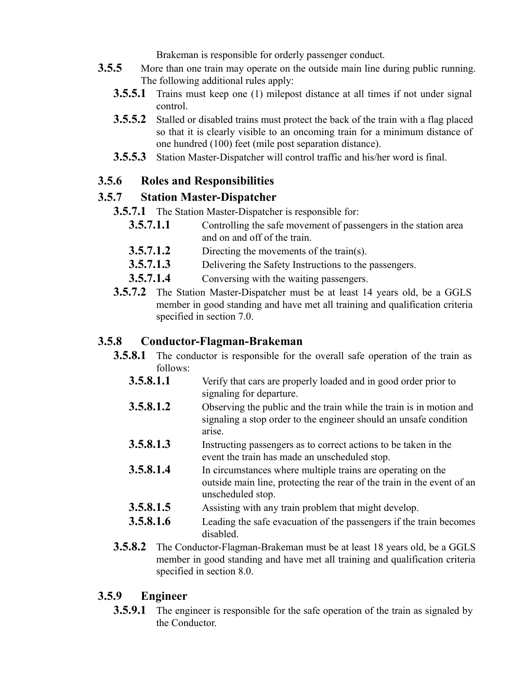Brakeman is responsible for orderly passenger conduct.

- **3.5.5** More than one train may operate on the outside main line during public running. The following additional rules apply:
	- **3.5.5.1** Trains must keep one (1) milepost distance at all times if not under signal control.
	- **3.5.5.2** Stalled or disabled trains must protect the back of the train with a flag placed so that it is clearly visible to an oncoming train for a minimum distance of one hundred (100) feet (mile post separation distance).
	- **3.5.5.3** Station Master-Dispatcher will control traffic and his/her word is final.

## **3.5.6 Roles and Responsibilities**

### **3.5.7 Station Master-Dispatcher**

- **3.5.7.1** The Station Master-Dispatcher is responsible for:
	- **3.5.7.1.1** Controlling the safe movement of passengers in the station area and on and off of the train.
	- **3.5.7.1.2** Directing the movements of the train(s).
	- **3.5.7.1.3** Delivering the Safety Instructions to the passengers.
	- **3.5.7.1.4** Conversing with the waiting passengers.
- **3.5.7.2** The Station Master-Dispatcher must be at least 14 years old, be a GGLS member in good standing and have met all training and qualification criteria specified in section 7.0.

#### **3.5.8 Conductor-Flagman-Brakeman**

- **3.5.8.1** The conductor is responsible for the overall safe operation of the train as follows:
	- **3.5.8.1.1** Verify that cars are properly loaded and in good order prior to signaling for departure.
	- **3.5.8.1.2** Observing the public and the train while the train is in motion and signaling a stop order to the engineer should an unsafe condition arise.
	- **3.5.8.1.3** Instructing passengers as to correct actions to be taken in the event the train has made an unscheduled stop.
	- **3.5.8.1.4** In circumstances where multiple trains are operating on the outside main line, protecting the rear of the train in the event of an unscheduled stop.
	- **3.5.8.1.5** •• Assisting with any train problem that might develop.
	- **3.5.8.1.6** Leading the safe evacuation of the passengers if the train becomes disabled.
- **3.5.8.2** The Conductor-Flagman-Brakeman must be at least 18 years old, be a GGLS member in good standing and have met all training and qualification criteria specified in section 8.0.

### **3.5.9 Engineer**

**3.5.9.1** The engineer is responsible for the safe operation of the train as signaled by the Conductor.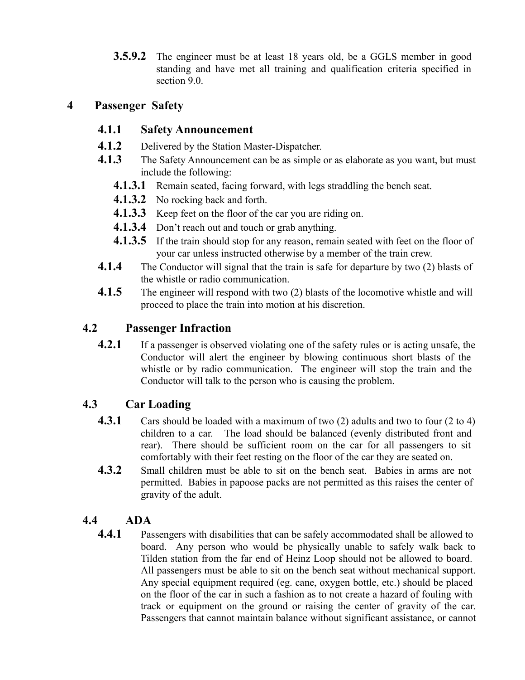**3.5.9.2** The engineer must be at least 18 years old, be a GGLS member in good standing and have met all training and qualification criteria specified in section 9.0.

#### **4 Passenger Safety**

#### **4.1.1 Safety Announcement**

- **4.1.2** Delivered by the Station Master-Dispatcher.
- **4.1.3** The Safety Announcement can be as simple or as elaborate as you want, but must include the following:
	- **4.1.3.1** Remain seated, facing forward, with legs straddling the bench seat.
	- **4.1.3.2** No rocking back and forth.
	- **4.1.3.3** Keep feet on the floor of the car you are riding on.
	- **4.1.3.4** Don't reach out and touch or grab anything.
	- **4.1.3.5** If the train should stop for any reason, remain seated with feet on the floor of your car unless instructed otherwise by a member of the train crew.
- **4.1.4** The Conductor will signal that the train is safe for departure by two (2) blasts of the whistle or radio communication.
- **4.1.5** The engineer will respond with two (2) blasts of the locomotive whistle and will proceed to place the train into motion at his discretion.

### **4.2 Passenger Infraction**

**4.2.1** If a passenger is observed violating one of the safety rules or is acting unsafe, the Conductor will alert the engineer by blowing continuous short blasts of the whistle or by radio communication. The engineer will stop the train and the Conductor will talk to the person who is causing the problem.

### **4.3 Car Loading**

- **4.3.1** Cars should be loaded with a maximum of two (2) adults and two to four (2 to 4) children to a car. The load should be balanced (evenly distributed front and rear). There should be sufficient room on the car for all passengers to sit comfortably with their feet resting on the floor of the car they are seated on.
- **4.3.2** Small children must be able to sit on the bench seat. Babies in arms are not permitted. Babies in papoose packs are not permitted as this raises the center of gravity of the adult.

### **4.4 ADA**

**4.4.1** Passengers with disabilities that can be safely accommodated shall be allowed to board. Any person who would be physically unable to safely walk back to Tilden station from the far end of Heinz Loop should not be allowed to board. All passengers must be able to sit on the bench seat without mechanical support. Any special equipment required (eg. cane, oxygen bottle, etc.) should be placed on the floor of the car in such a fashion as to not create a hazard of fouling with track or equipment on the ground or raising the center of gravity of the car. Passengers that cannot maintain balance without significant assistance, or cannot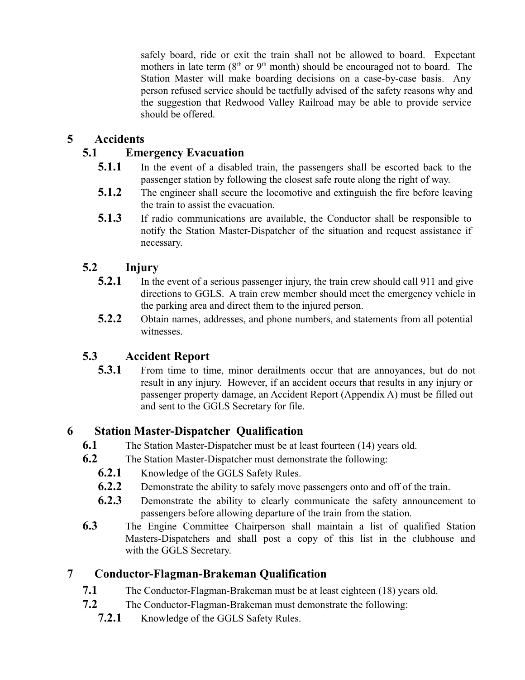safely board, ride or exit the train shall not be allowed to board. Expectant mothers in late term  $(8<sup>th</sup>$  or  $9<sup>th</sup>$  month) should be encouraged not to board. The Station Master will make boarding decisions on a case-by-case basis. Any person refused service should be tactfully advised of the safety reasons why and the suggestion that Redwood Valley Railroad may be able to provide service should be offered.

### **5 Accidents**

### **5.1 Emergency Evacuation**

- **5.1.1** In the event of a disabled train, the passengers shall be escorted back to the passenger station by following the closest safe route along the right of way.
- **5.1.2** The engineer shall secure the locomotive and extinguish the fire before leaving the train to assist the evacuation.
- **5.1.3** If radio communications are available, the Conductor shall be responsible to notify the Station Master-Dispatcher of the situation and request assistance if necessary.

### **5.2 Injury**

- **5.2.1** In the event of a serious passenger injury, the train crew should call 911 and give directions to GGLS. A train crew member should meet the emergency vehicle in the parking area and direct them to the injured person.
- **5.2.2** Obtain names, addresses, and phone numbers, and statements from all potential witnesses.

# **5.3 Accident Report**

**5.3.1** • From time to time, minor derailments occur that are annoyances, but do not result in any injury. However, if an accident occurs that results in any injury or passenger property damage, an Accident Report (Appendix A) must be filled out and sent to the GGLS Secretary for file.

### **6 Station Master-Dispatcher Qualification**

- **6.1** The Station Master-Dispatcher must be at least fourteen (14) years old.
- **6.2** The Station Master-Dispatcher must demonstrate the following:
	- **6.2.1** Knowledge of the GGLS Safety Rules.
	- **6.2.2** Demonstrate the ability to safely move passengers onto and off of the train.
	- **6.2.3** Demonstrate the ability to clearly communicate the safety announcement to passengers before allowing departure of the train from the station.
- **6.3** The Engine Committee Chairperson shall maintain a list of qualified Station Masters-Dispatchers and shall post a copy of this list in the clubhouse and with the GGLS Secretary.

# **7 Conductor-Flagman-Brakeman Qualification**

- **7.1** The Conductor-Flagman-Brakeman must be at least eighteen (18) years old.
- **7.2** The Conductor-Flagman-Brakeman must demonstrate the following:
	- **7.2.1** Knowledge of the GGLS Safety Rules.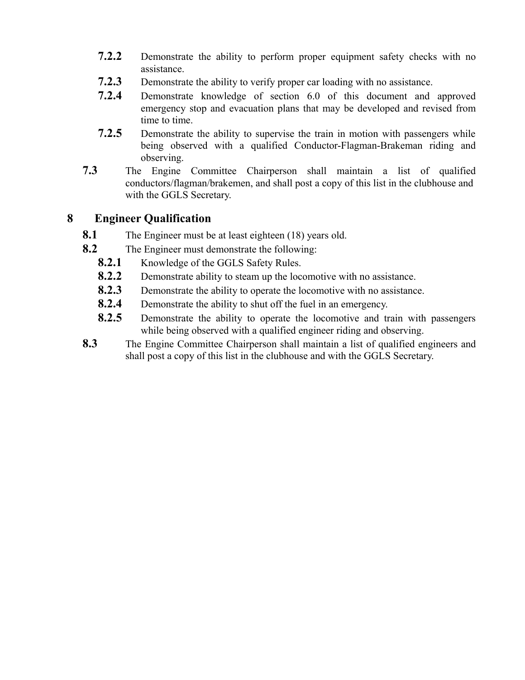- **7.2.2** Demonstrate the ability to perform proper equipment safety checks with no assistance.
- **7.2.3** Demonstrate the ability to verify proper car loading with no assistance.
- **7.2.4** Demonstrate knowledge of section 6.0 of this document and approved emergency stop and evacuation plans that may be developed and revised from time to time.
- **7.2.5** Demonstrate the ability to supervise the train in motion with passengers while being observed with a qualified Conductor-Flagman-Brakeman riding and observing.
- **7.3** The Engine Committee Chairperson shall maintain a list of qualified conductors/flagman/brakemen, and shall post a copy of this list in the clubhouse and with the GGLS Secretary.

#### **8 Engineer Qualification**

- **8.1** The Engineer must be at least eighteen (18) years old.
- **8.2** The Engineer must demonstrate the following:
	- **8.2.1** Knowledge of the GGLS Safety Rules.
	- **8.2.2** Demonstrate ability to steam up the locomotive with no assistance.
	- **8.2.3** Demonstrate the ability to operate the locomotive with no assistance.
	- **8.2.4** Demonstrate the ability to shut off the fuel in an emergency.
	- **8.2.5** Demonstrate the ability to operate the locomotive and train with passengers while being observed with a qualified engineer riding and observing.
- **8.3** The Engine Committee Chairperson shall maintain a list of qualified engineers and shall post a copy of this list in the clubhouse and with the GGLS Secretary.